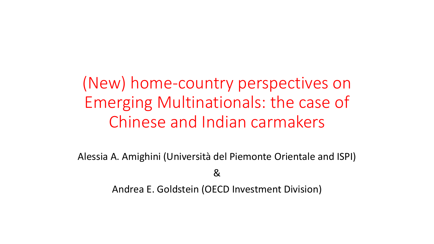(New) home-country perspectives on Emerging Multinationals: the case of Chinese and Indian carmakers

Alessia A. Amighini (Università del Piemonte Orientale and ISPI)

&

Andrea E. Goldstein (OECD Investment Division)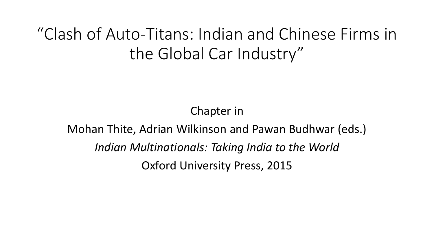"Clash of Auto-Titans: Indian and Chinese Firms in the Global Car Industry"

Chapter in

Mohan Thite, Adrian Wilkinson and Pawan Budhwar (eds.) *Indian Multinationals: Taking India to the World* Oxford University Press, 2015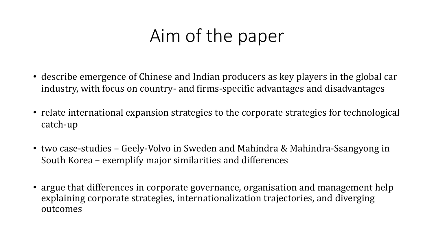## Aim of the paper

- describe emergence of Chinese and Indian producers as key players in the global car industry, with focus on country- and firms-specific advantages and disadvantages
- relate international expansion strategies to the corporate strategies for technological catch-up
- two case-studies Geely-Volvo in Sweden and Mahindra & Mahindra-Ssangyong in South Korea – exemplify major similarities and differences
- argue that differences in corporate governance, organisation and management help explaining corporate strategies, internationalization trajectories, and diverging outcomes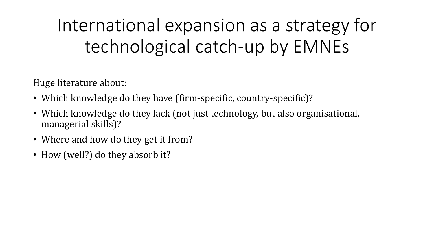## International expansion as a strategy for technological catch-up by EMNEs

Huge literature about:

- Which knowledge do they have (firm-specific, country-specific)?
- Which knowledge do they lack (not just technology, but also organisational, managerial skills)?
- Where and how do they get it from?
- How (well?) do they absorb it?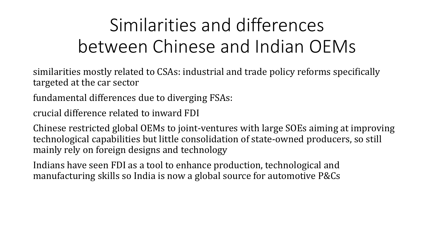# Similarities and differences between Chinese and Indian OEMs

similarities mostly related to CSAs: industrial and trade policy reforms specifically targeted at the car sector

fundamental differences due to diverging FSAs:

crucial difference related to inward FDI

Chinese restricted global OEMs to joint-ventures with large SOEs aiming at improving technological capabilities but little consolidation of state-owned producers, so still mainly rely on foreign designs and technology

Indians have seen FDI as a tool to enhance production, technological and manufacturing skills so India is now a global source for automotive P&Cs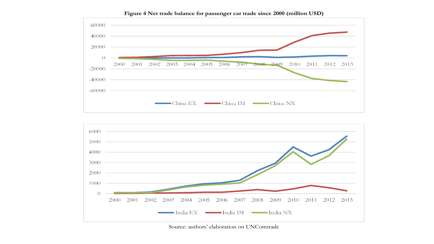

**Figure 4 Net trade balance for passenger car trade since 2000 (million USD)**



Source: authors' elaboration on UNComtrade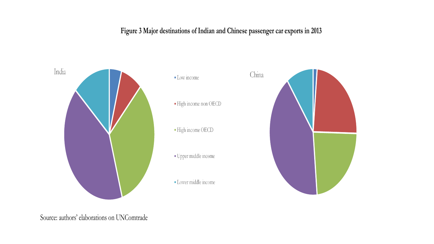#### **Figure 3 Major destinations of Indian and Chinese passenger car exports in 2013**



Source: authors' elaborations on UNComtrade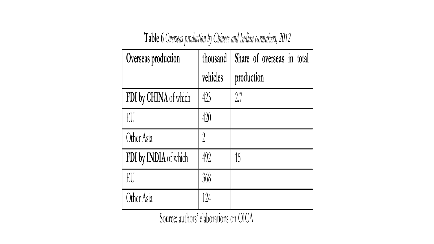#### **Table 6** *Overseas production by Chinese and Indian carmakers, 2012*

| Overseas production   | thousand      | Share of overseas in total |
|-----------------------|---------------|----------------------------|
|                       | vehicles      | production                 |
| FDI by CHINA of which | 423           | 2.7                        |
| EU                    | 420           |                            |
| Other Asia            | $\mathcal{D}$ |                            |
| FDI by INDIA of which | 492           | 15                         |
| EU                    | 368           |                            |
| Other Asia            | 124           |                            |

Source: authors' elaborations on OICA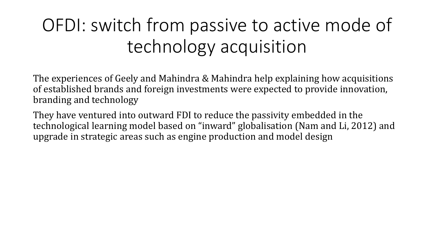# OFDI: switch from passive to active mode of technology acquisition

The experiences of Geely and Mahindra & Mahindra help explaining how acquisitions of established brands and foreign investments were expected to provide innovation, branding and technology

They have ventured into outward FDI to reduce the passivity embedded in the technological learning model based on "inward" globalisation (Nam and Li, 2012) and upgrade in strategic areas such as engine production and model design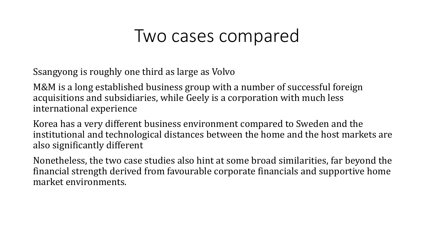#### Two cases compared

Ssangyong is roughly one third as large as Volvo

M&M is a long established business group with a number of successful foreign acquisitions and subsidiaries, while Geely is a corporation with much less international experience

Korea has a very different business environment compared to Sweden and the institutional and technological distances between the home and the host markets are also significantly different

Nonetheless, the two case studies also hint at some broad similarities, far beyond the financial strength derived from favourable corporate financials and supportive home market environments.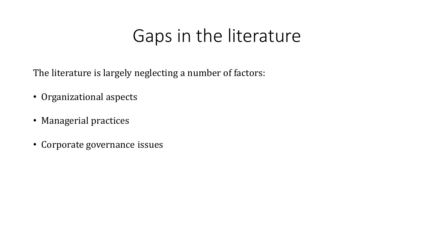## Gaps in the literature

The literature is largely neglecting a number of factors:

- Organizational aspects
- Managerial practices
- Corporate governance issues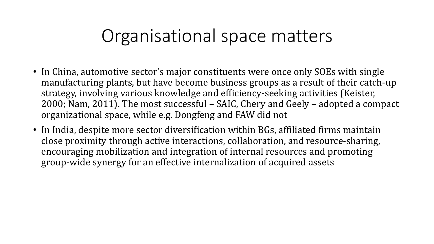### Organisational space matters

- In China, automotive sector's major constituents were once only SOEs with single manufacturing plants, but have become business groups as a result of their catch-up strategy, involving various knowledge and efficiency-seeking activities (Keister, 2000; Nam, 2011). The most successful – SAIC, Chery and Geely – adopted a compact organizational space, while e.g. Dongfeng and FAW did not
- In India, despite more sector diversification within BGs, affiliated firms maintain close proximity through active interactions, collaboration, and resource-sharing, encouraging mobilization and integration of internal resources and promoting group-wide synergy for an effective internalization of acquired assets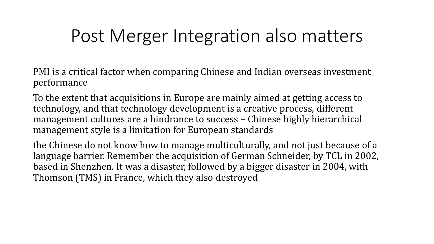### Post Merger Integration also matters

PMI is a critical factor when comparing Chinese and Indian overseas investment performance

To the extent that acquisitions in Europe are mainly aimed at getting access to technology, and that technology development is a creative process, different management cultures are a hindrance to success – Chinese highly hierarchical management style is a limitation for European standards

the Chinese do not know how to manage multiculturally, and not just because of a language barrier. Remember the acquisition of German Schneider, by TCL in 2002, based in Shenzhen. It was a disaster, followed by a bigger disaster in 2004, with Thomson (TMS) in France, which they also destroyed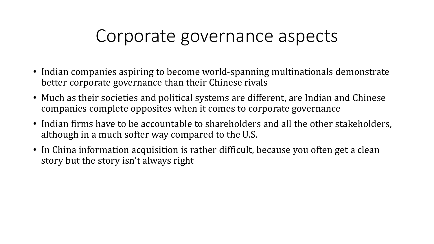#### Corporate governance aspects

- Indian companies aspiring to become world-spanning multinationals demonstrate better corporate governance than their Chinese rivals
- Much as their societies and political systems are different, are Indian and Chinese companies complete opposites when it comes to corporate governance
- Indian firms have to be accountable to shareholders and all the other stakeholders, although in a much softer way compared to the U.S.
- In China information acquisition is rather difficult, because you often get a clean story but the story isn't always right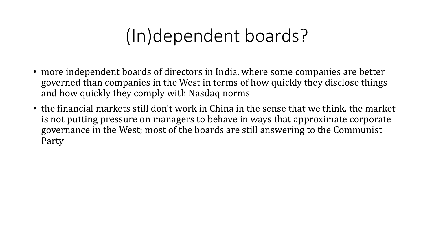## (In)dependent boards?

- more independent boards of directors in India, where some companies are better governed than companies in the West in terms of how quickly they disclose things and how quickly they comply with Nasdaq norms
- the financial markets still don't work in China in the sense that we think, the market is not putting pressure on managers to behave in ways that approximate corporate governance in the West; most of the boards are still answering to the Communist Party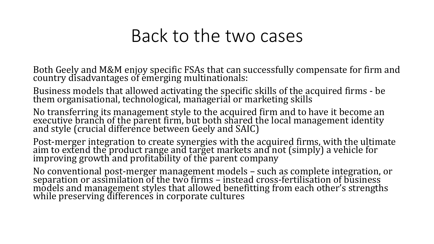#### Back to the two cases

Both Geely and M&M enjoy specific FSAs that can successfully compensate for firm and country disadvantages of emerging multinationals:

Business models that allowed activating the specific skills of the acquired firms - be them organisational, technological, managerial or marketing skills

No transferring its management style to the acquired firm and to have it become an executive branch of the parent firm, but both shared the local management identity and style (crucial difference between Geely and SAIC)

Post-merger integration to create synergies with the acquired firms, with the ultimate aim to extend the product range and target markets and not (simply) a vehicle for improving growth and profitability of the parent company

No conventional post-merger management models – such as complete integration, or separation or assimilation of the two firms – instead cross-fertilisation of business models and management styles that allowed benefitting from each other's strengths while preserving differences in corporate cultures